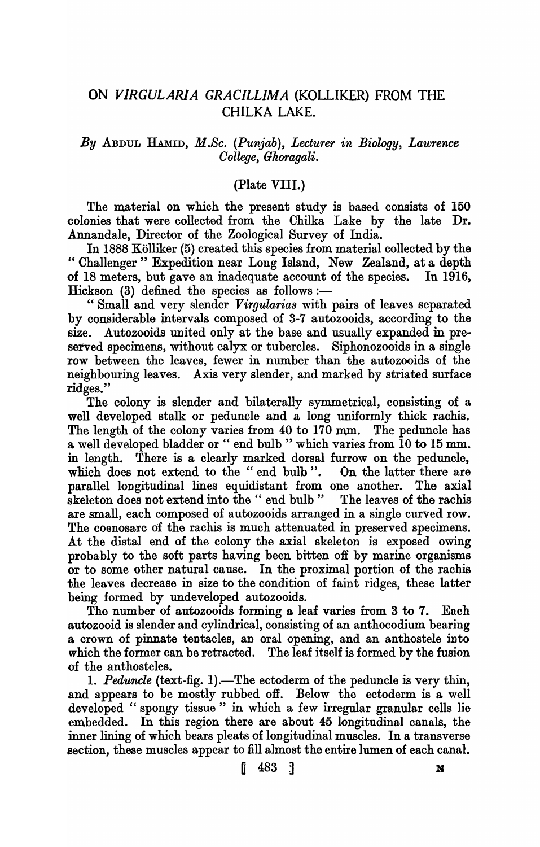## ON *VIRGULARIA GRACILLIMA* (KOLLIKER) FROM THE CHILKA LAKE.

## *By* ABDUL HAMID, *M.Sc. (Punjab), Lecturer in Biology, Lawrence Oollege, Ghoragali.*

## (Plate VIII.)

The material on which the present study is based consists of 150 colonies that were collected from the Chilka Lake by the late Dr. Annandale, Director of the Zoological Survey of India.

In 1888 Kolliker (5) created this species from material collected by the " Challenger" Expedition near Long Island, New Zealand, at a depth of 18 meters, but gave an inadequate account of the species. In 1916, Hickson  $(3)$  defined the species as follows:-

" Small and very slender *Virgularias* with pairs of leaves separated by considerable intervals composed of 3-7 autozooids, according to the size. Autozooids united only at the base and usually expanded in preserved specimens, without calyx or tubercles. Siphonozooids in a single row between the leaves, fewer in number than the autozooids of the neighbouring leaves. Axis very slender, and marked by striated surface ridges."

The colony is slender and bilaterally symmetrical, consisting of a well developed stalk or peduncle and a long uniformly thick rachis. The length of the colony varies from  $40$  to  $170$  mm. The peduncle has a well developed bladder or " end bulb" which varies from 10 to 15 mm. in length. There is a clearly marked dorsal furrow on the peduncle, which does not extend to the "end bulb". On the latter there are parallel longitudinal lines equidistant from one another. The axial skeleton does not extend into the " end bulb" The leaves of the rachis are small, each composed of autozooids arranged in a single curved row. The coenosarc of the rachis is much attenuated in preserved specimens. At the distal end of the colony the axial skeleton is exposed owing probably to the soft parts having been bitten oft by marine organisms or to some other natural cause. In the proximal portion of the rachis the leaves decrease in size to the condition of faint ridges, these latter being formed by undeveloped autozooids.

The number of autozooids forming a leaf varies from 3 to 7. Each autozooid is slender and cylindrical, consisting of an anthocodium bearing a crown of pinnate tentacles, an oral opening, and an anthostele into which the former can be retracted. The leaf itself is formed by the fusion of the anthosteles.

1. *Peduncle* (text-fig. 1).—The ectoderm of the peduncle is very thin, and appears to be mostly rubbed off. Below the ectoderm is a well developed "spongy tissue" in which a few irregular granular cells lie embedded. In this region there are about 45 longitudinal canals, the inner lining of which bears pleats of longitudinal muscles. In a transverse section, these muscles appear to fill almost the entire lumen of each canal.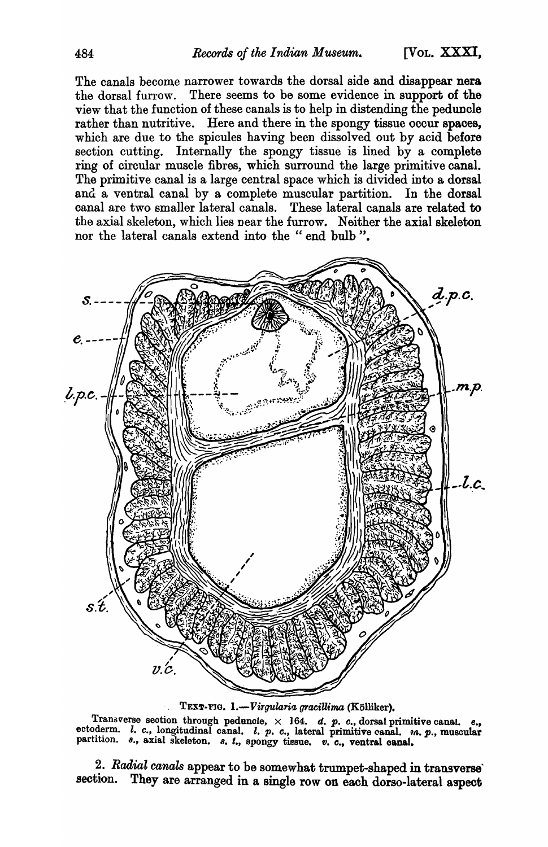The canals become narrower towards the dorsal side and disappear nera the dorsal furrow. There seems to be some evidence in support of the view that the function of these canals is to help in distending the peduncle rather than nutritive. Here and there in the spongy tissue occur spaces, which are due to the spicules having been dissolved out by acid before section cutting. Internally the spongy tissue is lined by a complete ring of circular muscle fibres, which surround the large primitive canal. The primitive canal is a large central space which is divided into a dorsal and a ventral canal by a complete muscular partition. In the dorsal canal are two smaller lateral canals. These lateral canals are related to the axial skeleton, which lies near the furrow. Neither the axial skeleton nor the lateral canals extend into the " end bulb".



TEXT-FIG. 1.-Virgularia gracillima (Kölliker).

Transverse section through peduncle,  $\times$  164. d. p. c., dorsal primitive canal. e., ectoderm. *l. c.*, longitudinal canal. *l. p. c.*, lateral primitive canal. m. p., muscular partition. *s.*, axial skeleton. *s. t.*, *spongy* tissue. *v. c.*, *ventral canal.* 

2. Radial canals appear to be somewhat trumpet-shaped in transverse' section. They are arranged in a single row on each dorso-Iateral aspect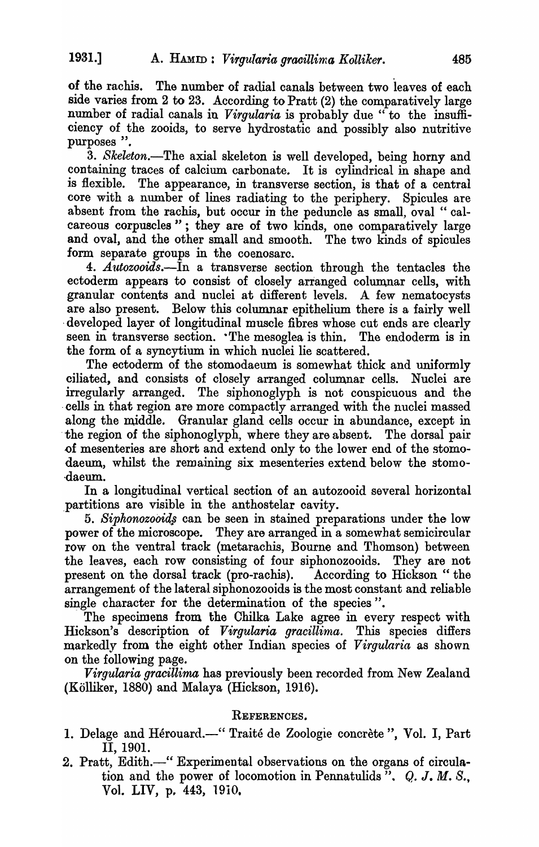of the rachis. The number of radial canals between two leaves of each side varies from 2 to 23. According to Pratt (2) the comparatively large number of radial canals in *Virgularia* is probably due "to the insufficiency of the zooids, to serve hydrostatic and possibly also nutritive purposes ".

*3. Skeleton.-The* axial skeleton is well developed, being horny and containing traces of calcium carbonate. It is cylindrical in shape and is flexible. The appearance, in transverse section, is that of a central core with a number of lines radiating to the periphery. Spicules are absent from the rachis, but occur in the peduncle as small, oval " calcareous corpuscles"; they are of two kinds, one comparatively large and oval, and the other small and smooth. The two kinds of spicules form separate groups in the coenosarc.

*4. Autozooids.-In* a transverse section through the tentacles the ectoderm appears to consist of closely arranged columnar cells, with granular contents and nuclei at different levels. A few nematocysts are also present. Below this columnar epithelium there is a fairly well developed layer of longitudinal muscle fibres whose cut ends are clearly seen in transverse section. The mesoglea is thin. The endoderm is in the form of a syncytium in which nuclei lie scattered.

The ectoderm of the stomodaeum is somewhat thick and uniformly ciliated, and consists of closely arranged columnar cells. Nuclei are irregularly arranged. The siphonoglyph is not conspicuous and the cells in that region are more compactly arranged with the nuclei massed along the middle. Granular gland cells occur in abundance, except in the region of the siphonoglyph, where they are absent. The dorsal pair .of mesenteries are short and extend only to the lower end of the stomodaeum, whilst the remaining six mesenteries extend below the stomo- ·daeum.

In a longitudinal vertical section of an autozooid several horizontal ,partitions are visible in the anthostelar cavity.

*5. Siphonozooii{s* can be seen in stained preparations under the low power of the microscope. They are arranged in a somewhat semicircular row on the ventral track (metarachis, Bourne and Thomson) between the leaves, each row consisting of four siphonozooids. They are not present on the dorsal track (pro-rachis). According to Hickson" the arrangement of the lateral siphonozooids is the most constant and reliable single character for the determination of the species".

The specimens from the Chilka Lake agree in every respect with Hickson's description of *Virgularia gracillima*. This species differs markedly from the eight other Indian species of *Virgular'ia* as shown on the following page.

*Virgularia gracillima* has previously been recorded from New Zealand (Kolliker, 1880) and Malaya (Hickson, 1916).

## REFERENCES.

- 1. Delage and Hérouard.—" Traité de Zoologie concrète", Vol. I, Part II, 1901.
- 2. Pratt, Edith.—" Experimental observations on the organs of circulation and the power of locomotion in Pennatulids".  $Q, J, M, S$ . Vol. LIV, p. 443, 1910.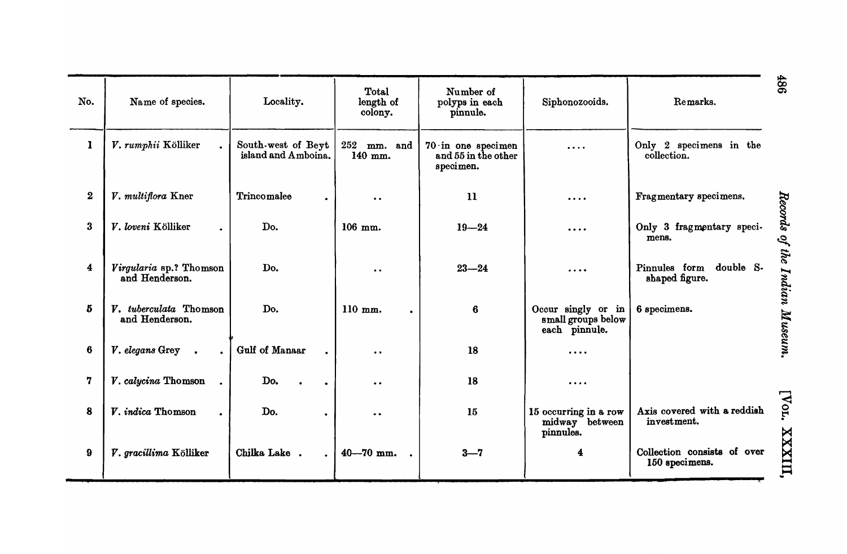| No.             | Name of species.                          | Locality.                                 | Total<br>length of<br>colony.                 | Number of<br>polyps in each<br>pinnule.                        | Siphonozooids.                                            | Remarks.                                      |
|-----------------|-------------------------------------------|-------------------------------------------|-----------------------------------------------|----------------------------------------------------------------|-----------------------------------------------------------|-----------------------------------------------|
| $\mathbf{I}$    | V. rumphii Kölliker                       | South-west of Beyt<br>island and Amboina. | 252 mm. and<br>140 mm.                        | $70 \cdot in$ one specimen<br>and 55 in the other<br>specimen. | $\cdots$                                                  | Only 2 specimens in the<br>collection.        |
| $\bf{2}$        | V. multiflora Kner                        | Trincomalee                               | $\bullet\hspace{0.4mm}\bullet\hspace{0.4mm}$  | $\mathbf{u}$                                                   | $\cdots$                                                  | Fragmentary specimens.                        |
| $\bf{3}$        | V. loveni Kölliker                        | Do.                                       | 106 mm.                                       | $19 - 24$                                                      | .                                                         | Only 3 fragmentary speci-<br>mens.            |
| 4               | Virgularia sp.? Thomson<br>and Henderson. | Do.                                       | $\bullet\hspace{0.4mm} \bullet\hspace{0.4mm}$ | $23 - 24$                                                      | $\cdots$                                                  | Pinnules form double S-<br>shaped figure.     |
| 5               | V. tuberculata Thomson<br>and Henderson.  | Do.                                       | 110 mm.                                       | $6\phantom{1}$                                                 | Occur singly or in<br>small groups below<br>each pinnule. | 6 specimens.                                  |
| $6\phantom{1}6$ | V. elegans Grey                           | Gulf of Manaar                            | $\bullet$ .                                   | 18                                                             | $\cdots$                                                  |                                               |
| 7               | V. calycina Thomson                       | Do.                                       | $\bullet$ $\bullet$                           | 18                                                             | $\cdots$                                                  |                                               |
| 8               | V. indica Thomson                         | Do.                                       | $\bullet$ $\bullet$                           | 15                                                             | 15 occurring in a row<br>midway between<br>pinnules.      | Axis covered with a reddish<br>investment.    |
| 9               | V. gracillima Kölliker                    | Chilka Lake.<br>$\ddot{\phantom{a}}$      | $40 - 70$ mm.                                 | $3 - 7$                                                        | 4                                                         | Collection consists of over<br>150 specimens. |

486

Records of the Indian Museum.